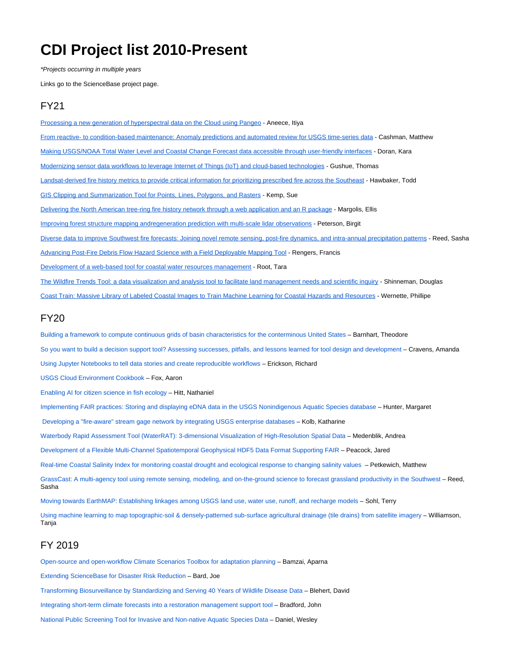# **CDI Project list 2010-Present**

\*Projects occurring in multiple years

Links go to the ScienceBase project page.

## FY21

[Processing a new generation of hyperspectral data on the Cloud using Pangeo](https://www.sciencebase.gov/catalog/item/60675626d34edc0435c09c8d) - Aneece, Itiya [From reactive- to condition-based maintenance: Anomaly predictions and automated review for USGS time-series data](https://www.sciencebase.gov/catalog/item/6067586fd34edc0435c09c9f) - Cashman, Matthew [Making USGS/NOAA Total Water Level and Coastal Change Forecast data accessible through user-friendly interfaces](https://www.sciencebase.gov/catalog/item/60675975d34edc0435c09cab) - Doran, Kara [Modernizing sensor data workflows to leverage Internet of Things \(IoT\) and cloud-based technologies](https://www.sciencebase.gov/catalog/item/60675a7bd34edc0435c09cb6) - Gushue, Thomas [Landsat-derived fire history metrics to provide critical information for prioritizing prescribed fire across the Southeast](https://www.sciencebase.gov/catalog/item/60675b4cd34edc0435c09cc0) - Hawbaker, Todd [GIS Clipping and Summarization Tool for Points, Lines, Polygons, and Rasters](https://www.sciencebase.gov/catalog/item/60676b61d34edc0435c09d1d) - Kemp, Sue [Delivering the North American tree-ring fire history network through a web application and an R package](https://www.sciencebase.gov/catalog/item/60676c41d34edc0435c09d28) - Margolis, Ellis [Improving forest structure mapping andregeneration prediction with multi-scale lidar observations](https://www.sciencebase.gov/catalog/item/606772aed34edc0435c09d52) - Peterson, Birgit [Diverse data to improve Southwest fire forecasts: Joining novel remote sensing, post-fire dynamics, and intra-annual precipitation patterns](https://www.sciencebase.gov/catalog/item/60676e08d34edc0435c09d2f) - Reed, Sasha [Advancing Post-Fire Debris Flow Hazard Science with a Field Deployable Mapping Tool](https://www.sciencebase.gov/catalog/item/60676ec5d34edc0435c09d37) - Rengers, Francis [Development of a web-based tool for coastal water resources management](https://www.sciencebase.gov/catalog/item/60677151d34edc0435c09d44) - Root, Tara [The Wildfire Trends Tool: a data visualization and analysis tool to facilitate land management needs and scientific inquiry](https://www.sciencebase.gov/catalog/item/606771f6d34edc0435c09d4c) - Shinneman, Douglas [Coast Train: Massive Library of Labeled Coastal Images to Train Machine Learning for Coastal Hazards and Resources](https://www.sciencebase.gov/catalog/item/60677364d34edc0435c09d57) - Wernette, Phillipe FY20

[Building a framework to compute continuous grids of basin characteristics for the conterminous United States](https://www.sciencebase.gov/catalog/item/5e9da99c82ce172707fb8c8f) – Barnhart, Theodore [So you want to build a decision support tool? Assessing successes, pitfalls, and lessons learned for tool design and development](https://www.sciencebase.gov/catalog/item/5f230a7982cef313ed94d88b) – Cravens, Amanda

[Using Jupyter Notebooks to tell data stories and create reproducible workflows](https://www.sciencebase.gov/catalog/item/5e95f26682ce172707f25368) – Erickson, Richard

[USGS Cloud Environment Cookbook](https://www.sciencebase.gov/catalog/item/5e9da90982ce172707fb8c8b) – Fox, Aaron

[Enabling AI for citizen science in fish ecology](https://www.sciencebase.gov/catalog/item/5e9db49c82ce172707fb8cdc) – Hitt, Nathaniel

[Implementing FAIR practices: Storing and displaying eDNA data in the USGS Nonindigenous Aquatic Species database](https://www.sciencebase.gov/catalog/item/5e9db54982ce172707fb8ce0) – Hunter, Margaret

[Developing a "fire-aware" stream gage network by integrating USGS enterprise databases](https://www.sciencebase.gov/catalog/item/5e9daa7b82ce172707fb8c9a) – Kolb, Katharine

[Waterbody Rapid Assessment Tool \(WaterRAT\): 3-dimensional Visualization of High-Resolution Spatial Data](https://www.sciencebase.gov/catalog/item/5e9db11d82ce172707fb8cc8) – Medenblik, Andrea

[Development of a Flexible Multi-Channel Spatiotemporal Geophysical HDF5 Data Format Supporting FAIR](https://www.sciencebase.gov/catalog/item/5e9db82882ce172707fb8cf7) – Peacock, Jared

[Real-time Coastal Salinity Index for monitoring coastal drought and ecological response to changing salinity values](https://www.sciencebase.gov/catalog/item/5e9db63982ce172707fb8ce9) – Petkewich, Matthew

[GrassCast: A multi-agency tool using remote sensing, modeling, and on-the-ground science to forecast grassland productivity in the Southwest](https://www.sciencebase.gov/catalog/item/5e9db41682ce172707fb8cd4) – Reed, Sasha

[Moving towards EarthMAP: Establishing linkages among USGS land use, water use, runoff, and recharge models](https://www.sciencebase.gov/catalog/item/5e9dabf582ce172707fb8cae) – Sohl, Terry

[Using machine learning to map topographic-soil & densely-patterned sub-surface agricultural drainage \(tile drains\) from satellite imagery](https://www.sciencebase.gov/catalog/item/5e9dad8982ce172707fb8cbb) – Williamson, **Tania** 

## FY 2019

[Open-source and open-workflow Climate Scenarios Toolbox for adaptation planning](https://www.sciencebase.gov/catalog/item/5cd1ff88e4b09b8c0b7a59a2) – Bamzai, Aparna [Extending ScienceBase for Disaster Risk Reduction](https://www.sciencebase.gov/catalog/item/5cd20028e4b09b8c0b7a59a8) – Bard, Joe [Transforming Biosurveillance by Standardizing and Serving 40 Years of Wildlife Disease Data](https://www.sciencebase.gov/catalog/item/5cd200d6e4b09b8c0b7a59ac) – Blehert, David [Integrating short-term climate forecasts into a restoration management support tool](https://www.sciencebase.gov/catalog/item/5cd20265e4b09b8c0b7a59af) – Bradford, John [National Public Screening Tool for Invasive and Non-native Aquatic Species Data](https://www.sciencebase.gov/catalog/item/5cd20414e4b09b8c0b7a59b7) – Daniel, Wesley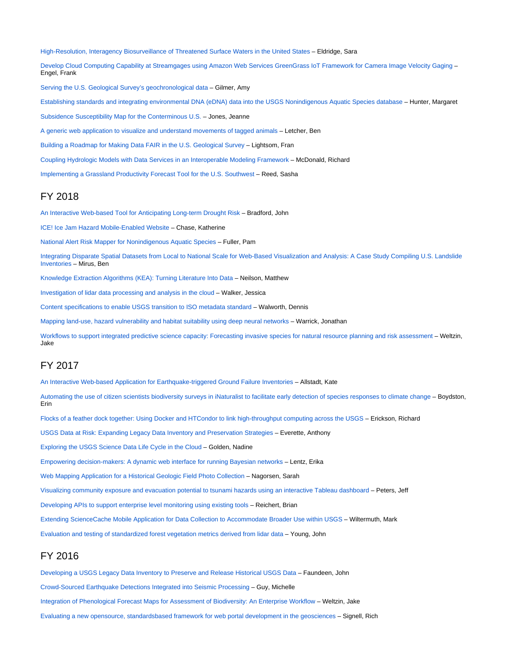[High-Resolution, Interagency Biosurveillance of Threatened Surface Waters in the United States](https://www.sciencebase.gov/catalog/item/5cd2055ee4b09b8c0b7a59ba) – Eldridge, Sara

[Develop Cloud Computing Capability at Streamgages using Amazon Web Services GreenGrass IoT Framework for Camera Image Velocity Gaging](https://www.sciencebase.gov/catalog/item/5cd2063ae4b09b8c0b7a59bd) – Engel, Frank

[Serving the U.S. Geological Survey's geochronological data](https://www.sciencebase.gov/catalog/item/5cd2e8dfe4b09b8c0b7a5c53) – Gilmer, Amy

[Establishing standards and integrating environmental DNA \(eDNA\) data into the USGS Nonindigenous Aquatic Species database](https://www.sciencebase.gov/catalog/item/5cd2e991e4b09b8c0b7a5c56) – Hunter, Margaret

[Subsidence Susceptibility Map for the Conterminous U.S.](https://www.sciencebase.gov/catalog/item/5cd2ea33e4b09b8c0b7a5c59) – Jones, Jeanne

[A generic web application to visualize and understand movements of tagged animals](https://www.sciencebase.gov/catalog/item/5cd30962e4b09b8c0b7a5cad) – Letcher, Ben

[Building a Roadmap for Making Data FAIR in the U.S. Geological Survey](https://www.sciencebase.gov/catalog/item/5cd30aade4b09b8c0b7a5cbb) – Lightsom, Fran

[Coupling Hydrologic Models with Data Services in an Interoperable Modeling Framework](https://www.sciencebase.gov/catalog/item/5cd30b8de4b09b8c0b7a5cc1) – McDonald, Richard

[Implementing a Grassland Productivity Forecast Tool for the U.S. Southwest](https://www.sciencebase.gov/catalog/item/5cd30cc7e4b09b8c0b7a5cc6) – Reed, Sasha

#### FY 2018

[An Interactive Web-based Tool for Anticipating Long-term Drought Risk](https://www.sciencebase.gov/catalog/item/5acd21aae4b0e2c2dd155dea) – Bradford, John

[ICE! Ice Jam Hazard Mobile-Enabled Website](https://www.sciencebase.gov/catalog/item/5b9198e5e4b0702d0e808b76) – Chase, Katherine

[National Alert Risk Mapper for Nonindigenous Aquatic Species](https://www.sciencebase.gov/catalog/item/5acd257ae4b0e2c2dd155df5) – Fuller, Pam

[Integrating Disparate Spatial Datasets from Local to National Scale for Web-Based Visualization and Analysis: A Case Study Compiling U.S. Landslide](https://www.sciencebase.gov/catalog/item/5acd2600e4b0e2c2dd155dfa)  [Inventories](https://www.sciencebase.gov/catalog/item/5acd2600e4b0e2c2dd155dfa) – Mirus, Ben

[Knowledge Extraction Algorithms \(KEA\): Turning Literature Into Data](https://www.sciencebase.gov/catalog/item/5acd2680e4b0e2c2dd155dfd) – Neilson, Matthew

[Investigation of lidar data processing and analysis in the cloud](https://www.sciencebase.gov/catalog/item/5b919e87e4b0702d0e808b9d) – Walker, Jessica

[Content specifications to enable USGS transition to ISO metadata standard](https://www.sciencebase.gov/catalog/item/5acd27a0e4b0e2c2dd155e01) – Walworth, Dennis

[Mapping land-use, hazard vulnerability and habitat suitability using deep neural networks](https://www.sciencebase.gov/catalog/item/5acd2923e4b0e2c2dd155e09) – Warrick, Jonathan

[Workflows to support integrated predictive science capacity: Forecasting invasive species for natural resource planning and risk assessment](https://www.sciencebase.gov/catalog/item/5acd27b3e4b0e2c2dd155e03) – Weltzin, Jake

## FY 2017

[An Interactive Web-based Application for Earthquake-triggered Ground Failure Inventories](https://www.sciencebase.gov/catalog/item/58b5c886e4b01ccd54fde368) – Allstadt, Kate

[Automating the use of citizen scientists biodiversity surveys in iNaturalist to facilitate early detection of species responses to climate change](https://www.sciencebase.gov/catalog/item/58b5cd07e4b01ccd54fde37f) – Boydston, Erin

[Flocks of a feather dock together: Using Docker and HTCondor to link high-throughput computing across the USGS](https://www.sciencebase.gov/catalog/item/58b5db5ce4b01ccd54fde3e4) – Erickson, Richard

[USGS Data at Risk: Expanding Legacy Data Inventory and Preservation Strategies](https://www.sciencebase.gov/catalog/item/58b5ddc3e4b01ccd54fde3fa) – Everette, Anthony

[Exploring the USGS Science Data Life Cycle in the Cloud](https://www.sciencebase.gov/catalog/item/58b5e10fe4b01ccd54fde40b) – Golden, Nadine

[Empowering decision-makers: A dynamic web interface for running Bayesian networks](https://www.sciencebase.gov/catalog/item/58b5e351e4b01ccd54fde418) – Lentz, Erika

[Web Mapping Application for a Historical Geologic Field Photo Collection](https://www.sciencebase.gov/catalog/item/58b5f81ee4b01ccd54fde479) – Nagorsen, Sarah

[Visualizing community exposure and evacuation potential to tsunami hazards using an interactive Tableau dashboard](https://www.sciencebase.gov/catalog/item/58b5f9d9e4b01ccd54fde47d) – Peters, Jeff

[Developing APIs to support enterprise level monitoring using existing tools](https://www.sciencebase.gov/catalog/item/58b5fbdce4b01ccd54fde482) – Reichert, Brian

[Extending ScienceCache Mobile Application for Data Collection to Accommodate Broader Use within USGS](https://www.sciencebase.gov/catalog/item/58b5fd17e4b01ccd54fde487) – Wiltermuth, Mark

[Evaluation and testing of standardized forest vegetation metrics derived from lidar data](https://www.sciencebase.gov/catalog/item/58b5ff4fe4b01ccd54fde490) – Young, John

## FY 2016

[Developing a USGS Legacy Data Inventory to Preserve and Release Historical USGS Data](https://www.sciencebase.gov/catalog/item/56d87142e4b015c306f6cf9b) – Faundeen, John [Crowd-Sourced Earthquake Detections Integrated into Seismic Processing](https://www.sciencebase.gov/catalog/item/56d874b1e4b015c306f6cfb8) – Guy, Michelle [Integration of Phenological Forecast Maps for Assessment of Biodiversity: An Enterprise Workflow](https://www.sciencebase.gov/catalog/item/56d8784fe4b015c306f6cfca) – Weltzin, Jake [Evaluating a new opensource, standardsbased framework for web portal development in the geosciences](https://www.sciencebase.gov/catalog/item/56d87a7de4b015c306f6cfcf) – Signell, Rich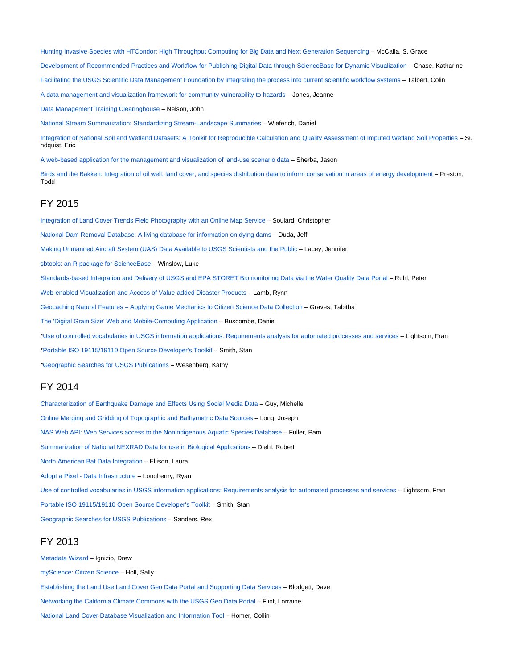[Hunting Invasive Species with HTCondor: High Throughput Computing for Big Data and Next Generation Sequencing](https://www.sciencebase.gov/catalog/item/56d87b9ee4b015c306f6cfd6) – McCalla, S. Grace [Development of Recommended Practices and Workflow for Publishing Digital Data through ScienceBase for Dynamic Visualization](https://www.sciencebase.gov/catalog/item/56d87cc4e4b015c306f6cfe1) – Chase, Katharine [Facilitating the USGS Scientific Data Management Foundation by integrating the process into current scientific workflow systems](https://www.sciencebase.gov/catalog/item/56d87e0ae4b015c306f6cff0) – Talbert, Colin [A data management and visualization framework for community vulnerability to hazards](https://www.sciencebase.gov/catalog/item/56d87ebde4b015c306f6cff2) – Jones, Jeanne

[Data Management Training Clearinghouse](https://www.sciencebase.gov/catalog/item/56d88012e4b015c306f6cffc) – Nelson, John

[National Stream Summarization: Standardizing Stream-Landscape Summaries](https://www.sciencebase.gov/catalog/item/56d88158e4b015c306f6d001) – Wieferich, Daniel

[Integration of National Soil and Wetland Datasets: A Toolkit for Reproducible Calculation and Quality Assessment of Imputed Wetland Soil Properties](https://www.sciencebase.gov/catalog/item/56d88328e4b015c306f6d010) – Su ndquist, Eric

[A web-based application for the management and visualization of land-use scenario data](https://www.sciencebase.gov/catalog/item/56df566fe4b015c306fc5b99) – Sherba, Jason

[Birds and the Bakken: Integration of oil well, land cover, and species distribution data to inform conservation in areas of energy development](https://www.sciencebase.gov/catalog/item/56d886ade4b015c306f6d02e) – Preston, Todd

#### FY 2015

[Integration of Land Cover Trends Field Photography with an Online Map Service](https://www.sciencebase.gov/catalog/item/552448c8e4b027f0aee3d3d1) – Soulard, Christopher

[National Dam Removal Database: A living database for information on dying dams](https://www.sciencebase.gov/catalog/item/552448fce4b027f0aee3d3d4) – Duda, Jeff

[Making Unmanned Aircraft System \(UAS\) Data Available to USGS Scientists and the Public](https://www.sciencebase.gov/catalog/item/5524509be4b027f0aee3d3f4) – Lacey, Jennifer

[sbtools: an R package for ScienceBase](https://www.sciencebase.gov/catalog/item/55244935e4b027f0aee3d3d6) – Winslow, Luke

[Standards-based Integration and Delivery of USGS and EPA STORET Biomonitoring Data via the Water Quality Data Portal](https://www.sciencebase.gov/catalog/item/55244969e4b027f0aee3d3d8) – Ruhl, Peter

[Web-enabled Visualization and Access of Value-added Disaster Products](https://www.sciencebase.gov/catalog/item/552449a1e4b027f0aee3d3da) – Lamb, Rynn

[Geocaching Natural Features – Applying Game Mechanics to Citizen Science Data Collection](https://www.sciencebase.gov/catalog/item/552449c7e4b027f0aee3d3dd) – Graves, Tabitha

[The 'Digital Grain Size' Web and Mobile-Computing Application](https://www.sciencebase.gov/catalog/item/552449f3e4b027f0aee3d3df) – Buscombe, Daniel

\*[Use of controlled vocabularies in USGS information applications: Requirements analysis for automated processes and services](https://www.sciencebase.gov/catalog/item/5320a400e4b0224be0a97a18) – Lightsom, Fran

\*[Portable ISO 19115/19110 Open Source Developer's Toolkit](https://www.sciencebase.gov/catalog/item/5320a55ee4b0224be0a97a1e) – Smith, Stan

\*[Geographic Searches for USGS Publications](https://www.sciencebase.gov/catalog/item/5320a651e4b0224be0a97a20) – Wesenberg, Kathy

## FY 2014

[Characterization of Earthquake Damage and Effects Using Social Media Data](https://www.sciencebase.gov/catalog/item/53207404e4b0224be0a979e1) – Guy, Michelle [Online Merging and Gridding of Topographic and Bathymetric Data Sources](https://www.sciencebase.gov/catalog/item/53208d1fe4b0224be0a979e8) – Long, Joseph [NAS Web API: Web Services access to the Nonindigenous Aquatic Species Database](https://www.sciencebase.gov/catalog/item/53209b45e4b0224be0a979ee) – Fuller, Pam [Summarization of National NEXRAD Data for use in Biological Applications](https://www.sciencebase.gov/catalog/item/5320a141e4b0224be0a97a0f) – Diehl, Robert [North American Bat Data Integration](https://www.sciencebase.gov/catalog/item/5320a20de4b0224be0a97a12) – Ellison, Laura [Adopt a Pixel - Data Infrastructure](https://www.sciencebase.gov/catalog/item/5320a2cee4b0224be0a97a14) – Longhenry, Ryan [Use of controlled vocabularies in USGS information applications: Requirements analysis for automated processes and services](https://www.sciencebase.gov/catalog/item/5320a400e4b0224be0a97a18) – Lightsom, Fran [Portable ISO 19115/19110 Open Source Developer's Toolkit](https://www.sciencebase.gov/catalog/item/5320a55ee4b0224be0a97a1e) – Smith, Stan [Geographic Searches for USGS Publications](https://www.sciencebase.gov/catalog/item/5320a651e4b0224be0a97a20) – Sanders, Rex

## FY 2013

[Metadata Wizard](https://www.sciencebase.gov/catalog/item/50ed7aa4e4b0438b00db080a) – Ignizio, Drew [myScience: Citizen Science](https://www.sciencebase.gov/catalog/item/5231ea3de4b079b6e76e6172) – Holl, Sally [Establishing the Land Use Land Cover Geo Data Portal and Supporting Data Services](https://www.sciencebase.gov/catalog/item/5231e2a8e4b079b6e76e616b) – Blodgett, Dave [Networking the California Climate Commons with the USGS Geo Data Portal](https://www.sciencebase.gov/catalog/item/5232169ee4b0f06321418e04) – Flint, Lorraine [National Land Cover Database Visualization and Information Tool](https://www.sciencebase.gov/catalog/item/52321a10e4b0f06321418e12) – Homer, Collin